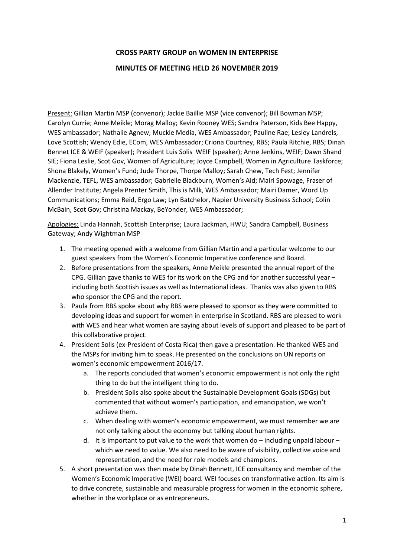## **CROSS PARTY GROUP on WOMEN IN ENTERPRISE**

## **MINUTES OF MEETING HELD 26 NOVEMBER 2019**

Present: Gillian Martin MSP (convenor); Jackie Baillie MSP (vice convenor); Bill Bowman MSP; Carolyn Currie; Anne Meikle; Morag Malloy; Kevin Rooney WES; Sandra Paterson, Kids Bee Happy, WES ambassador; Nathalie Agnew, Muckle Media, WES Ambassador; Pauline Rae; Lesley Landrels, Love Scottish; Wendy Edie, ECom, WES Ambassador; Criona Courtney, RBS; Paula Ritchie, RBS; Dinah Bennet ICE & WEIF (speaker); President Luis Solis WEIF (speaker); Anne Jenkins, WEIF; Dawn Shand SIE; Fiona Leslie, Scot Gov, Women of Agriculture; Joyce Campbell, Women in Agriculture Taskforce; Shona Blakely, Women's Fund; Jude Thorpe, Thorpe Malloy; Sarah Chew, Tech Fest; Jennifer Mackenzie, TEFL, WES ambassador; Gabrielle Blackburn, Women's Aid; Mairi Spowage, Fraser of Allender Institute; Angela Prenter Smith, This is Milk, WES Ambassador; Mairi Damer, Word Up Communications; Emma Reid, Ergo Law; Lyn Batchelor, Napier University Business School; Colin McBain, Scot Gov; Christina Mackay, BeYonder, WES Ambassador;

Apologies: Linda Hannah, Scottish Enterprise; Laura Jackman, HWU; Sandra Campbell, Business Gateway; Andy Wightman MSP

- 1. The meeting opened with a welcome from Gillian Martin and a particular welcome to our guest speakers from the Women's Economic Imperative conference and Board.
- 2. Before presentations from the speakers, Anne Meikle presented the annual report of the CPG. Gillian gave thanks to WES for its work on the CPG and for another successful year – including both Scottish issues as well as International ideas. Thanks was also given to RBS who sponsor the CPG and the report.
- 3. Paula from RBS spoke about why RBS were pleased to sponsor as they were committed to developing ideas and support for women in enterprise in Scotland. RBS are pleased to work with WES and hear what women are saying about levels of support and pleased to be part of this collaborative project.
- 4. President Solis (ex-President of Costa Rica) then gave a presentation. He thanked WES and the MSPs for inviting him to speak. He presented on the conclusions on UN reports on women's economic empowerment 2016/17.
	- a. The reports concluded that women's economic empowerment is not only the right thing to do but the intelligent thing to do.
	- b. President Solis also spoke about the Sustainable Development Goals (SDGs) but commented that without women's participation, and emancipation, we won't achieve them.
	- c. When dealing with women's economic empowerment, we must remember we are not only talking about the economy but talking about human rights.
	- d. It is important to put value to the work that women do  $-$  including unpaid labour  $$ which we need to value. We also need to be aware of visibility, collective voice and representation, and the need for role models and champions.
- 5. A short presentation was then made by Dinah Bennett, ICE consultancy and member of the Women's Economic Imperative (WEI) board. WEI focuses on transformative action. Its aim is to drive concrete, sustainable and measurable progress for women in the economic sphere, whether in the workplace or as entrepreneurs.